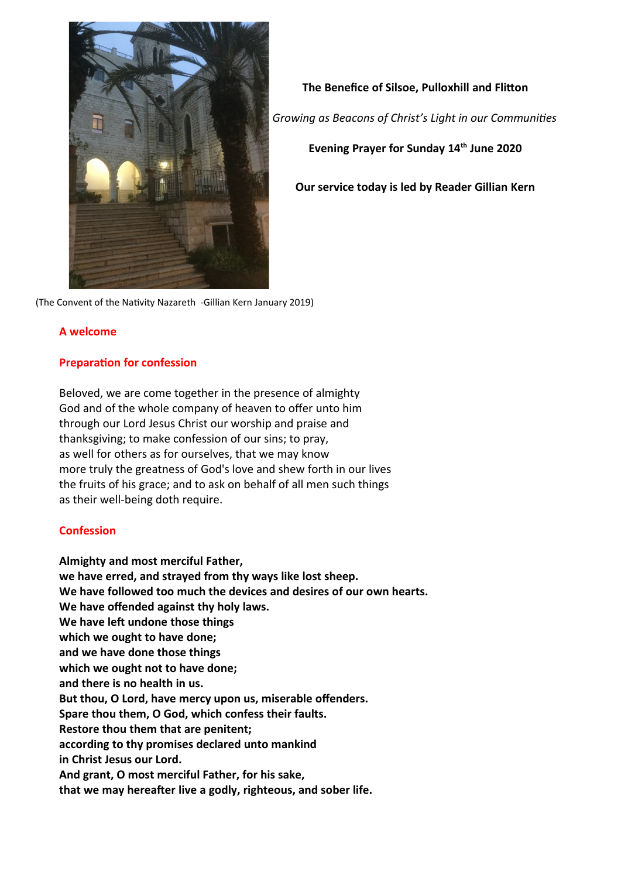

**The Benefice of Silsoe, Pulloxhill and Flitton** *Growing as Beacons of Christ's Light in our Communities* **Evening Prayer for Sunday 14th June 2020 Our service today is led by Reader Gillian Kern**

(The Convent of the Nativity Nazareth -Gillian Kern January 2019)

### **A welcome**

### **Preparation for confession**

Beloved, we are come together in the presence of almighty God and of the whole company of heaven to offer unto him through our Lord Jesus Christ our worship and praise and thanksgiving; to make confession of our sins; to pray, as well for others as for ourselves, that we may know more truly the greatness of God's love and shew forth in our lives the fruits of his grace; and to ask on behalf of all men such things as their well-being doth require.

### **Confession**

**Almighty and most merciful Father, we have erred, and strayed from thy ways like lost sheep. We have followed too much the devices and desires of our own hearts. We have offended against thy holy laws. We have left undone those things which we ought to have done; and we have done those things which we ought not to have done; and there is no health in us. But thou, O Lord, have mercy upon us, miserable offenders. Spare thou them, O God, which confess their faults. Restore thou them that are penitent; according to thy promises declared unto mankind in Christ Jesus our Lord. And grant, O most merciful Father, for his sake, that we may hereafter live a godly, righteous, and sober life.**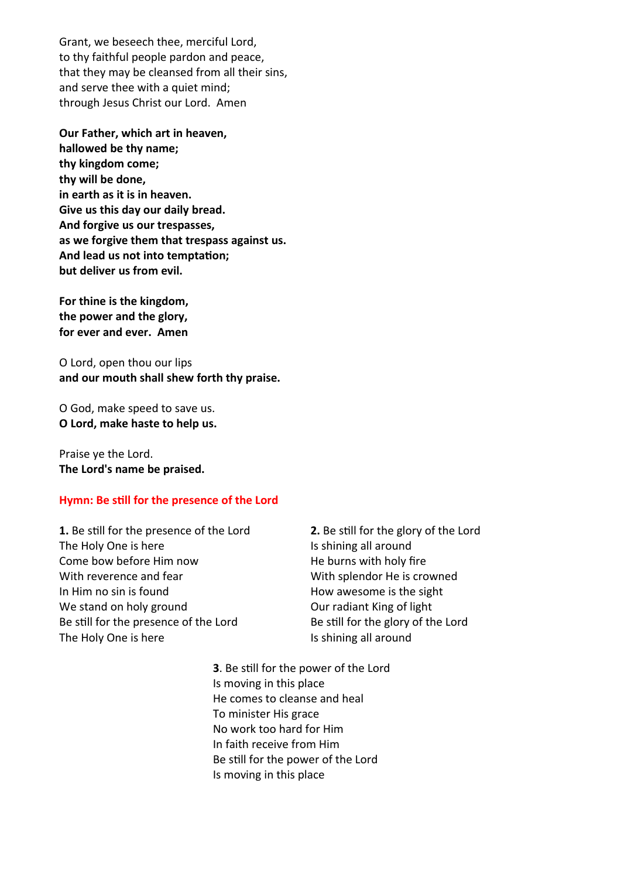Grant, we beseech thee, merciful Lord, to thy faithful people pardon and peace, that they may be cleansed from all their sins, and serve thee with a quiet mind; through Jesus Christ our Lord. Amen

**Our Father, which art in heaven, hallowed be thy name; thy kingdom come; thy will be done, in earth as it is in heaven. Give us this day our daily bread. And forgive us our trespasses, as we forgive them that trespass against us. And lead us not into temptation; but deliver us from evil.** 

**For thine is the kingdom, the power and the glory, for ever and ever. Amen**

O Lord, open thou our lips **and our mouth shall shew forth thy praise.**

O God, make speed to save us. **O Lord, make haste to help us.**

Praise ye the Lord. **The Lord's name be praised.**

### **Hymn: Be still for the presence of the Lord**

**1.** Be still for the presence of the Lord The Holy One is here Come bow before Him now With reverence and fear In Him no sin is found We stand on holy ground Be still for the presence of the Lord The Holy One is here

**2.** Be still for the glory of the Lord Is shining all around He burns with holy fire With splendor He is crowned How awesome is the sight Our radiant King of light Be still for the glory of the Lord Is shining all around

**3**. Be still for the power of the Lord Is moving in this place He comes to cleanse and heal To minister His grace No work too hard for Him In faith receive from Him Be still for the power of the Lord Is moving in this place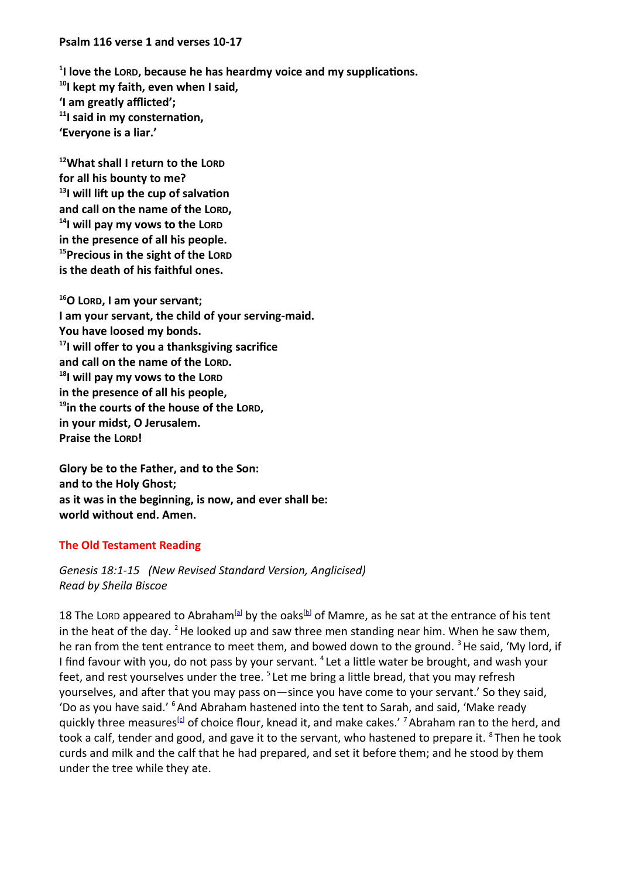### **Psalm 116 verse 1 and verses 10-17**

**1 I love the LORD, because he has heardmy voice and my supplications. <sup>10</sup>I kept my faith, even when I said, 'I am greatly afflicted'; <sup>11</sup>I said in my consternation, 'Everyone is a liar.'**

**<sup>12</sup>What shall I return to the LORD for all his bounty to me? <sup>13</sup>I will lift up the cup of salvation and call on the name of the LORD, <sup>14</sup>I will pay my vows to the LORD in the presence of all his people. <sup>15</sup>Precious in the sight of the LORD is the death of his faithful ones.**

**<sup>16</sup>O LORD, I am your servant; I am your servant, the child of your serving-maid. You have loosed my bonds. <sup>17</sup>I will offer to you a thanksgiving sacrifice and call on the name of the LORD. <sup>18</sup>I will pay my vows to the LORD in the presence of all his people, <sup>19</sup>in the courts of the house of the LORD, in your midst, O Jerusalem. Praise the LORD!**

**Glory be to the Father, and to the Son: and to the Holy Ghost; as it was in the beginning, is now, and ever shall be: world without end. Amen.**

## **The Old Testament Reading**

*Genesis 18:1-15 (New Revised Standard Version, Anglicised) Read by Sheila Biscoe*

18 The LORD appeared to Abraham<sup>[\[a](https://www.biblegateway.com/passage/?search=Genesis+18%3A1-15&version=NRSVA#fen-NRSVA-426a)]</sup> by the oaks<sup>[\[b\]](https://www.biblegateway.com/passage/?search=Genesis+18%3A1-15&version=NRSVA#fen-NRSVA-426b)</sup> of Mamre, as he sat at the entrance of his tent in the heat of the day.  $2$  He looked up and saw three men standing near him. When he saw them, he ran from the tent entrance to meet them, and bowed down to the ground.  $3$  He said, 'My lord, if I find favour with you, do not pass by your servant. <sup>4</sup> Let a little water be brought, and wash your feet, and rest yourselves under the tree. <sup>5</sup> Let me bring a little bread, that you may refresh yourselves, and after that you may pass on—since you have come to your servant.' So they said, 'Do as you have said.' <sup>6</sup> And Abraham hastened into the tent to Sarah, and said, 'Make ready quickly three measures<sup>[\[c](https://www.biblegateway.com/passage/?search=Genesis+18%3A1-15&version=NRSVA#fen-NRSVA-431c)]</sup> of choice flour, knead it, and make cakes.' <sup>7</sup> Abraham ran to the herd, and took a calf, tender and good, and gave it to the servant, who hastened to prepare it. <sup>8</sup> Then he took curds and milk and the calf that he had prepared, and set it before them; and he stood by them under the tree while they ate.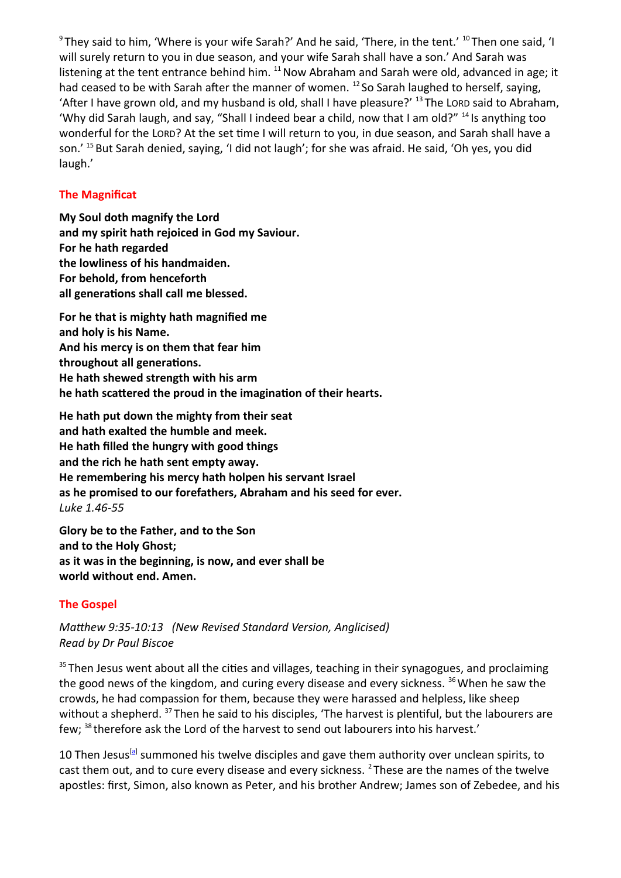$^9$ They said to him, 'Where is your wife Sarah?' And he said, 'There, in the tent.'  $^{10}$ Then one said, 'I will surely return to you in due season, and your wife Sarah shall have a son.' And Sarah was listening at the tent entrance behind him.  $^{11}$  Now Abraham and Sarah were old, advanced in age; it had ceased to be with Sarah after the manner of women. <sup>12</sup> So Sarah laughed to herself, saying, 'After I have grown old, and my husband is old, shall I have pleasure?' <sup>13</sup> The LORD said to Abraham, 'Why did Sarah laugh, and say, "Shall I indeed bear a child, now that I am old?" <sup>14</sup> Is anything too wonderful for the LORD? At the set time I will return to you, in due season, and Sarah shall have a son.' <sup>15</sup> But Sarah denied, saying, 'I did not laugh'; for she was afraid. He said, 'Oh yes, you did laugh.'

## **The Magnificat**

**My Soul doth magnify the Lord and my spirit hath rejoiced in God my Saviour. For he hath regarded the lowliness of his handmaiden. For behold, from henceforth all generations shall call me blessed.**

**For he that is mighty hath magnified me and holy is his Name. And his mercy is on them that fear him throughout all generations. He hath shewed strength with his arm he hath scattered the proud in the imagination of their hearts.**

**He hath put down the mighty from their seat and hath exalted the humble and meek. He hath filled the hungry with good things and the rich he hath sent empty away. He remembering his mercy hath holpen his servant Israel as he promised to our forefathers, Abraham and his seed for ever.** *Luke 1.46-55*

**Glory be to the Father, and to the Son and to the Holy Ghost; as it was in the beginning, is now, and ever shall be world without end. Amen.**

# **The Gospel**

*Matthew 9:35-10:13 (New Revised Standard Version, Anglicised) Read by Dr Paul Biscoe*

<sup>35</sup> Then Jesus went about all the cities and villages, teaching in their synagogues, and proclaiming the good news of the kingdom, and curing every disease and every sickness.  $36$  When he saw the crowds, he had compassion for them, because they were harassed and helpless, like sheep without a shepherd. <sup>37</sup> Then he said to his disciples, 'The harvest is plentiful, but the labourers are few; <sup>38</sup> therefore ask the Lord of the harvest to send out labourers into his harvest.'

10 Then Jesus<sup>[\[a\]](https://www.biblegateway.com/passage/?search=Matthew9%3A35-10%3A13&version=NRSVA#fen-NRSVA-23419a)</sup> summoned his twelve disciples and gave them authority over unclean spirits, to cast them out, and to cure every disease and every sickness. <sup>2</sup> These are the names of the twelve apostles: first, Simon, also known as Peter, and his brother Andrew; James son of Zebedee, and his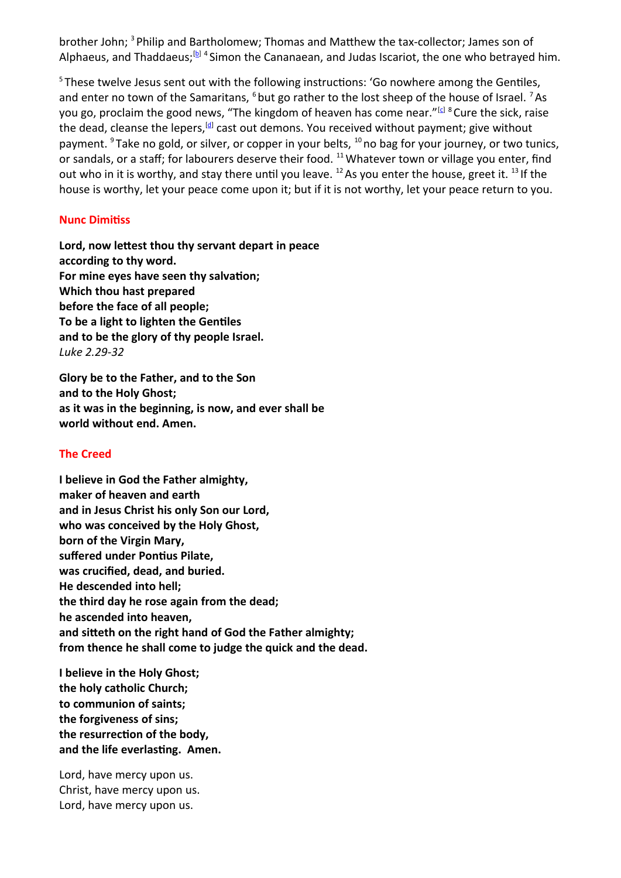brother John; <sup>3</sup> Philip and Bartholomew; Thomas and Matthew the tax-collector; James son of Alphaeus, and Thaddaeus;<sup>[\[b\]](https://www.biblegateway.com/passage/?search=Matthew9%3A35-10%3A13&version=NRSVA#fen-NRSVA-23421b) 4</sup> Simon the Cananaean, and Judas Iscariot, the one who betrayed him.

<sup>5</sup>These twelve Jesus sent out with the following instructions: 'Go nowhere among the Gentiles, and enter no town of the Samaritans,  $^6$  but go rather to the lost sheep of the house of Israel.  $^7$  As you go, proclaim the good news, "The kingdom of heaven has come near."<sup>[[c\]](https://www.biblegateway.com/passage/?search=Matthew9%3A35-10%3A13&version=NRSVA#fen-NRSVA-23425c) 8</sup> Cure the sick, raise the dead, cleanse the lepers,<sup>[\[d\]](https://www.biblegateway.com/passage/?search=Matthew9%3A35-10%3A13&version=NRSVA#fen-NRSVA-23426d)</sup> cast out demons. You received without payment; give without payment. <sup>9</sup> Take no gold, or silver, or copper in your belts, <sup>10</sup> no bag for your journey, or two tunics, or sandals, or a staff; for labourers deserve their food. <sup>11</sup> Whatever town or village you enter, find out who in it is worthy, and stay there until you leave.  $^{12}$  As you enter the house, greet it.  $^{13}$  If the house is worthy, let your peace come upon it; but if it is not worthy, let your peace return to you.

### **Nunc Dimitiss**

**Lord, now lettest thou thy servant depart in peace according to thy word. For mine eyes have seen thy salvation; Which thou hast prepared before the face of all people; To be a light to lighten the Gentiles and to be the glory of thy people Israel.**  *Luke 2.29-32*

**Glory be to the Father, and to the Son and to the Holy Ghost; as it was in the beginning, is now, and ever shall be world without end. Amen.**

## **The Creed**

**I believe in God the Father almighty, maker of heaven and earth and in Jesus Christ his only Son our Lord, who was conceived by the Holy Ghost, born of the Virgin Mary, suffered under Pontius Pilate, was crucified, dead, and buried. He descended into hell; the third day he rose again from the dead; he ascended into heaven, and sitteth on the right hand of God the Father almighty; from thence he shall come to judge the quick and the dead.**

**I believe in the Holy Ghost; the holy catholic Church; to communion of saints; the forgiveness of sins; the resurrection of the body, and the life everlasting. Amen.** 

Lord, have mercy upon us. Christ, have mercy upon us. Lord, have mercy upon us.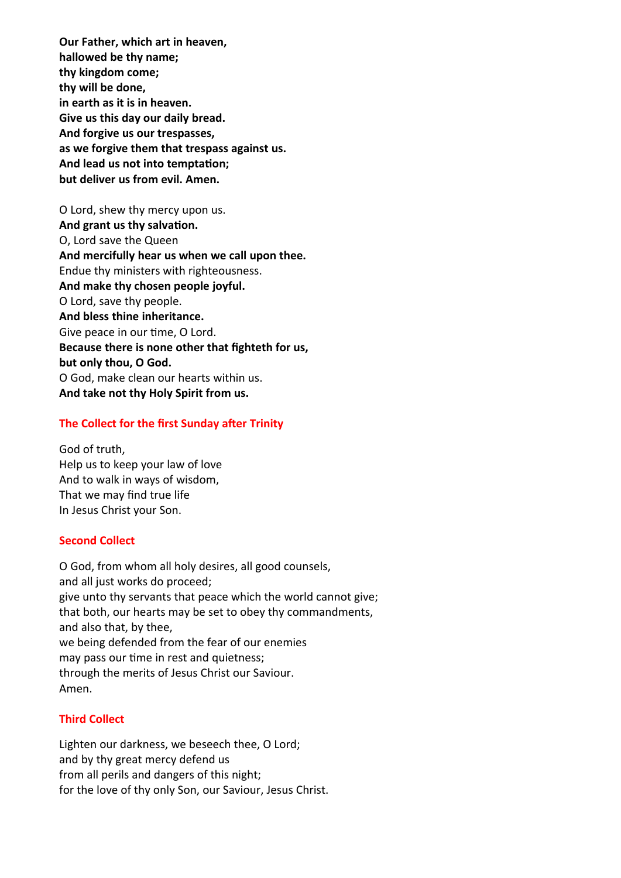**Our Father, which art in heaven, hallowed be thy name; thy kingdom come; thy will be done, in earth as it is in heaven. Give us this day our daily bread. And forgive us our trespasses, as we forgive them that trespass against us. And lead us not into temptation; but deliver us from evil. Amen.**

O Lord, shew thy mercy upon us. **And grant us thy salvation.** O, Lord save the Queen **And mercifully hear us when we call upon thee.** Endue thy ministers with righteousness. **And make thy chosen people joyful.** O Lord, save thy people. **And bless thine inheritance.** Give peace in our time, O Lord. **Because there is none other that fighteth for us, but only thou, O God.** O God, make clean our hearts within us. **And take not thy Holy Spirit from us.**

## **The Collect for the first Sunday after Trinity**

God of truth, Help us to keep your law of love And to walk in ways of wisdom, That we may find true life In Jesus Christ your Son.

### **Second Collect**

O God, from whom all holy desires, all good counsels, and all just works do proceed; give unto thy servants that peace which the world cannot give; that both, our hearts may be set to obey thy commandments, and also that, by thee, we being defended from the fear of our enemies may pass our time in rest and quietness; through the merits of Jesus Christ our Saviour. Amen.

### **Third Collect**

Lighten our darkness, we beseech thee, O Lord; and by thy great mercy defend us from all perils and dangers of this night; for the love of thy only Son, our Saviour, Jesus Christ.